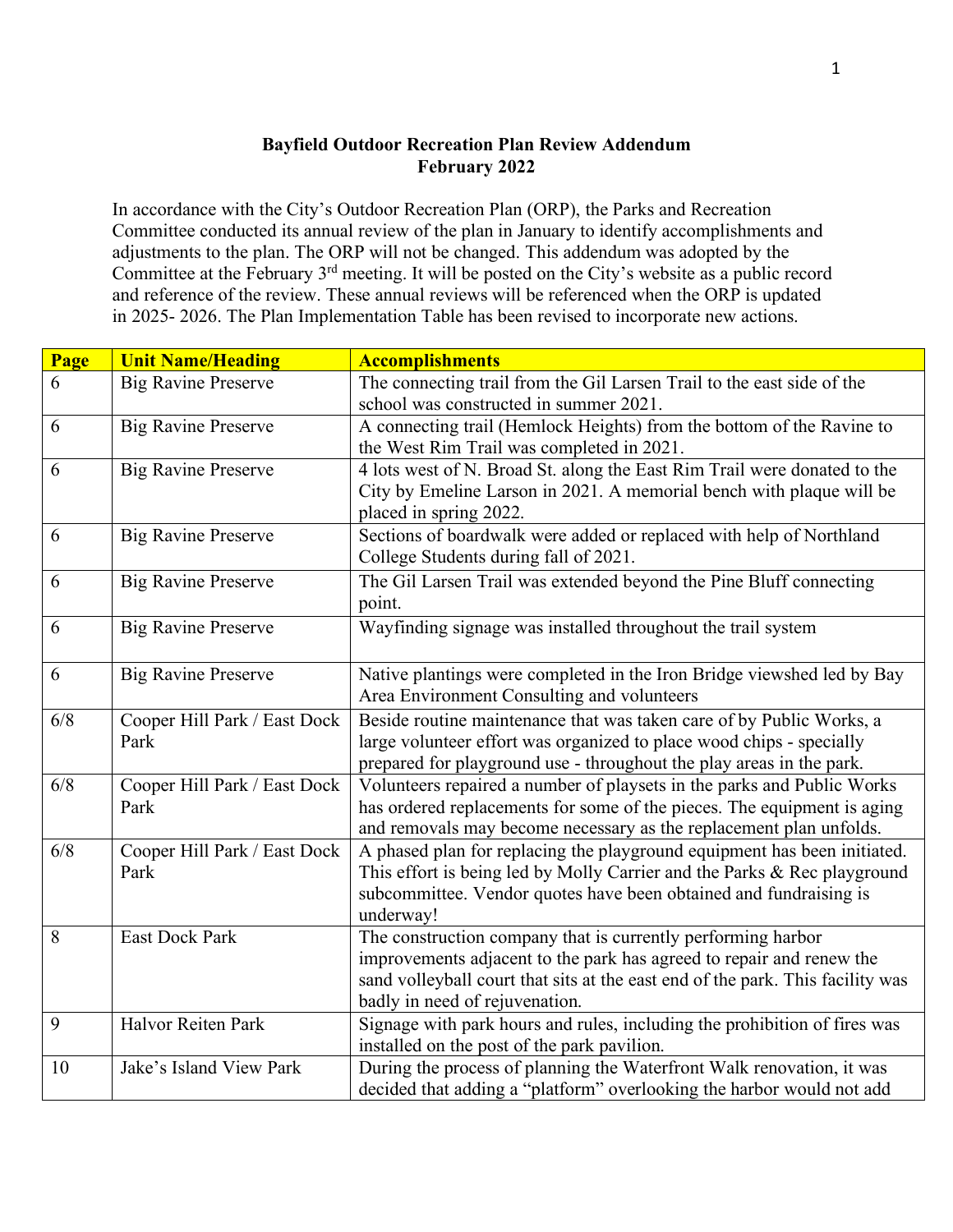## **Bayfield Outdoor Recreation Plan Review Addendum February 2022**

In accordance with the City's Outdoor Recreation Plan (ORP), the Parks and Recreation Committee conducted its annual review of the plan in January to identify accomplishments and adjustments to the plan. The ORP will not be changed. This addendum was adopted by the Committee at the February 3rd meeting. It will be posted on the City's website as a public record and reference of the review. These annual reviews will be referenced when the ORP is updated in 2025- 2026. The Plan Implementation Table has been revised to incorporate new actions.

| Page | <b>Unit Name/Heading</b>             | <b>Accomplishments</b>                                                                                                                                                                                                                                   |
|------|--------------------------------------|----------------------------------------------------------------------------------------------------------------------------------------------------------------------------------------------------------------------------------------------------------|
| 6    | <b>Big Ravine Preserve</b>           | The connecting trail from the Gil Larsen Trail to the east side of the<br>school was constructed in summer 2021.                                                                                                                                         |
| 6    | <b>Big Ravine Preserve</b>           | A connecting trail (Hemlock Heights) from the bottom of the Ravine to<br>the West Rim Trail was completed in 2021.                                                                                                                                       |
| 6    | <b>Big Ravine Preserve</b>           | 4 lots west of N. Broad St. along the East Rim Trail were donated to the<br>City by Emeline Larson in 2021. A memorial bench with plaque will be<br>placed in spring 2022.                                                                               |
| 6    | <b>Big Ravine Preserve</b>           | Sections of boardwalk were added or replaced with help of Northland<br>College Students during fall of 2021.                                                                                                                                             |
| 6    | <b>Big Ravine Preserve</b>           | The Gil Larsen Trail was extended beyond the Pine Bluff connecting<br>point.                                                                                                                                                                             |
| 6    | Big Ravine Preserve                  | Wayfinding signage was installed throughout the trail system                                                                                                                                                                                             |
| 6    | <b>Big Ravine Preserve</b>           | Native plantings were completed in the Iron Bridge viewshed led by Bay<br>Area Environment Consulting and volunteers                                                                                                                                     |
| 6/8  | Cooper Hill Park / East Dock<br>Park | Beside routine maintenance that was taken care of by Public Works, a<br>large volunteer effort was organized to place wood chips - specially<br>prepared for playground use - throughout the play areas in the park.                                     |
| 6/8  | Cooper Hill Park / East Dock<br>Park | Volunteers repaired a number of playsets in the parks and Public Works<br>has ordered replacements for some of the pieces. The equipment is aging<br>and removals may become necessary as the replacement plan unfolds.                                  |
| 6/8  | Cooper Hill Park / East Dock<br>Park | A phased plan for replacing the playground equipment has been initiated.<br>This effort is being led by Molly Carrier and the Parks & Rec playground<br>subcommittee. Vendor quotes have been obtained and fundraising is<br>underway!                   |
| 8    | <b>East Dock Park</b>                | The construction company that is currently performing harbor<br>improvements adjacent to the park has agreed to repair and renew the<br>sand volleyball court that sits at the east end of the park. This facility was<br>badly in need of rejuvenation. |
| 9    | Halvor Reiten Park                   | Signage with park hours and rules, including the prohibition of fires was<br>installed on the post of the park pavilion.                                                                                                                                 |
| 10   | Jake's Island View Park              | During the process of planning the Waterfront Walk renovation, it was<br>decided that adding a "platform" overlooking the harbor would not add                                                                                                           |